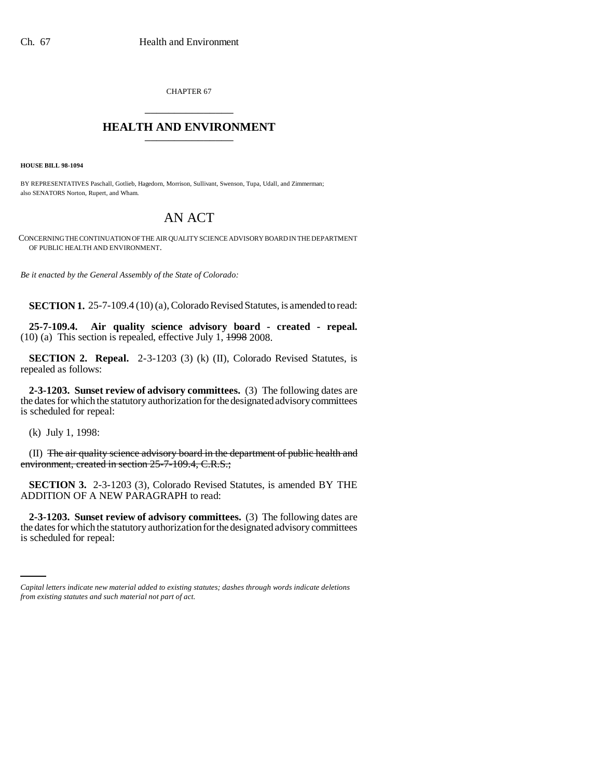CHAPTER 67 \_\_\_\_\_\_\_\_\_\_\_\_\_\_\_

## **HEALTH AND ENVIRONMENT** \_\_\_\_\_\_\_\_\_\_\_\_\_\_\_

**HOUSE BILL 98-1094**

BY REPRESENTATIVES Paschall, Gotlieb, Hagedorn, Morrison, Sullivant, Swenson, Tupa, Udall, and Zimmerman; also SENATORS Norton, Rupert, and Wham.

## AN ACT

CONCERNING THE CONTINUATION OF THE AIR QUALITY SCIENCE ADVISORY BOARD IN THE DEPARTMENT OF PUBLIC HEALTH AND ENVIRONMENT.

*Be it enacted by the General Assembly of the State of Colorado:*

**SECTION 1.** 25-7-109.4 (10) (a), Colorado Revised Statutes, is amended to read:

**25-7-109.4. Air quality science advisory board - created - repeal.** (10) (a) This section is repealed, effective July 1, 1998 2008.

**SECTION 2. Repeal.** 2-3-1203 (3) (k) (II), Colorado Revised Statutes, is repealed as follows:

**2-3-1203. Sunset review of advisory committees.** (3) The following dates are the dates for which the statutory authorization for the designated advisory committees is scheduled for repeal:

(k) July 1, 1998:

(II) The air quality science advisory board in the department of public health and environment, created in section 25-7-109.4, C.R.S.;

**SECTION 3.** 2-3-1203 (3), Colorado Revised Statutes, is amended BY THE ADDITION OF A NEW PARAGRAPH to read:

the dates for which the statutory authorization for the designated advisory committees **2-3-1203. Sunset review of advisory committees.** (3) The following dates are is scheduled for repeal:

*Capital letters indicate new material added to existing statutes; dashes through words indicate deletions from existing statutes and such material not part of act.*